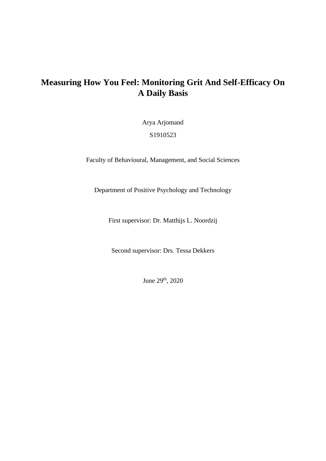# **Measuring How You Feel: Monitoring Grit And Self-Efficacy On A Daily Basis**

Arya Arjomand

S1910523

Faculty of Behavioural, Management, and Social Sciences

Department of Positive Psychology and Technology

First supervisor: Dr. Matthijs L. Noordzij

Second supervisor: Drs. Tessa Dekkers

June 29th, 2020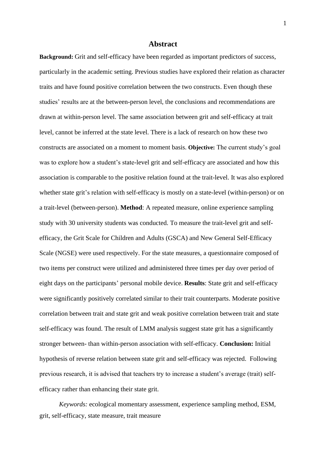#### **Abstract**

**Background:** Grit and self-efficacy have been regarded as important predictors of success, particularly in the academic setting. Previous studies have explored their relation as character traits and have found positive correlation between the two constructs. Even though these studies' results are at the between-person level, the conclusions and recommendations are drawn at within-person level. The same association between grit and self-efficacy at trait level, cannot be inferred at the state level. There is a lack of research on how these two constructs are associated on a moment to moment basis. **Objective:** The current study's goal was to explore how a student's state-level grit and self-efficacy are associated and how this association is comparable to the positive relation found at the trait-level. It was also explored whether state grit's relation with self-efficacy is mostly on a state-level (within-person) or on a trait-level (between-person). **Method**: A repeated measure, online experience sampling study with 30 university students was conducted. To measure the trait-level grit and selfefficacy, the Grit Scale for Children and Adults (GSCA) and New General Self-Efficacy Scale (NGSE) were used respectively. For the state measures, a questionnaire composed of two items per construct were utilized and administered three times per day over period of eight days on the participants' personal mobile device. **Results**: State grit and self-efficacy were significantly positively correlated similar to their trait counterparts. Moderate positive correlation between trait and state grit and weak positive correlation between trait and state self-efficacy was found. The result of LMM analysis suggest state grit has a significantly stronger between- than within-person association with self-efficacy. **Conclusion:** Initial hypothesis of reverse relation between state grit and self-efficacy was rejected. Following previous research, it is advised that teachers try to increase a student's average (trait) selfefficacy rather than enhancing their state grit.

*Keywords:* ecological momentary assessment, experience sampling method, ESM, grit, self-efficacy, state measure, trait measure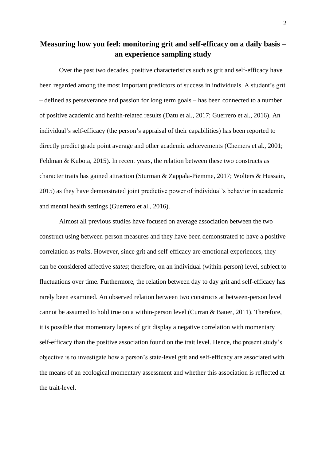## **Measuring how you feel: monitoring grit and self-efficacy on a daily basis – an experience sampling study**

Over the past two decades, positive characteristics such as grit and self-efficacy have been regarded among the most important predictors of success in individuals. A student's grit – defined as perseverance and passion for long term goals – has been connected to a number of positive academic and health-related results (Datu et al., 2017; Guerrero et al., 2016). An individual's self-efficacy (the person's appraisal of their capabilities) has been reported to directly predict grade point average and other academic achievements (Chemers et al., 2001; Feldman & Kubota, 2015). In recent years, the relation between these two constructs as character traits has gained attraction (Sturman & Zappala-Piemme, 2017; Wolters & Hussain, 2015) as they have demonstrated joint predictive power of individual's behavior in academic and mental health settings (Guerrero et al., 2016).

Almost all previous studies have focused on average association between the two construct using between-person measures and they have been demonstrated to have a positive correlation as *traits*. However, since grit and self-efficacy are emotional experiences, they can be considered affective *states*; therefore, on an individual (within-person) level, subject to fluctuations over time. Furthermore, the relation between day to day grit and self-efficacy has rarely been examined. An observed relation between two constructs at between-person level cannot be assumed to hold true on a within-person level (Curran & Bauer, 2011). Therefore, it is possible that momentary lapses of grit display a negative correlation with momentary self-efficacy than the positive association found on the trait level. Hence, the present study's objective is to investigate how a person's state-level grit and self-efficacy are associated with the means of an ecological momentary assessment and whether this association is reflected at the trait-level.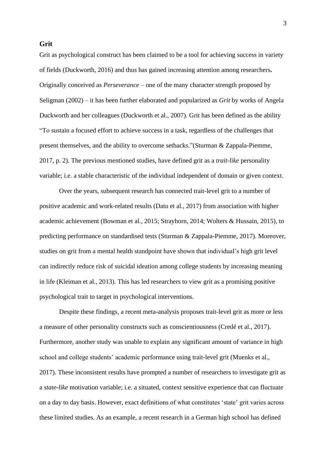**Grit**

Grit as psychological construct has been claimed to be a tool for achieving success in variety of fields (Duckworth, 2016) and thus has gained increasing attention among researchers**.** Originally conceived as *Perseverance –* one of the many character strength proposed by Seligman (2002) *–* it has been further elaborated and popularized as *Grit* by works of Angela Duckworth and her colleagues (Duckworth et al., 2007). Grit has been defined as the ability "To sustain a focused effort to achieve success in a task, regardless of the challenges that present themselves, and the ability to overcome setbacks."(Sturman & Zappala-Piemme, 2017, p. 2). The previous mentioned studies, have defined grit as a *trait-like* personality variable; i.e. a stable characteristic of the individual independent of domain or given context.

Over the years, subsequent research has connected trait-level grit to a number of positive academic and work-related results (Datu et al., 2017) from association with higher academic achievement (Bowman et al., 2015; Strayhorn, 2014; Wolters & Hussain, 2015), to predicting performance on standardised tests (Sturman & Zappala-Piemme, 2017). Moreover, studies on grit from a mental health standpoint have shown that individual's high grit level can indirectly reduce risk of suicidal ideation among college students by increasing meaning in life (Kleiman et al., 2013). This has led researchers to view grit as a promising positive psychological trait to target in psychological interventions.

Despite these findings, a recent meta-analysis proposes trait-level grit as more or less a measure of other personality constructs such as conscientiousness (Credé et al., 2017). Furthermore, another study was unable to explain any significant amount of variance in high school and college students' academic performance using trait-level grit (Muenks et al., 2017). These inconsistent results have prompted a number of researchers to investigate grit as a *state-like* motivation variable; i.e. a situated, context sensitive experience that can fluctuate on a day to day basis. However, exact definitions of what constitutes 'state' grit varies across these limited studies. As an example, a recent research in a German high school has defined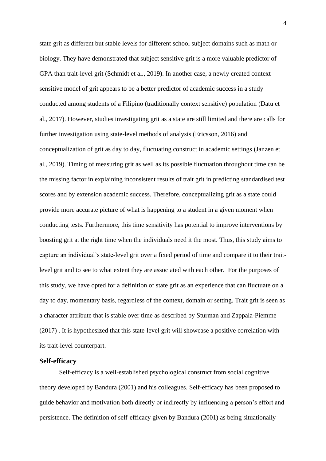state grit as different but stable levels for different school subject domains such as math or biology. They have demonstrated that subject sensitive grit is a more valuable predictor of GPA than trait-level grit (Schmidt et al., 2019). In another case, a newly created context sensitive model of grit appears to be a better predictor of academic success in a study conducted among students of a Filipino (traditionally context sensitive) population (Datu et al., 2017). However, studies investigating grit as a state are still limited and there are calls for further investigation using state-level methods of analysis (Ericsson, 2016) and conceptualization of grit as day to day, fluctuating construct in academic settings (Janzen et al., 2019). Timing of measuring grit as well as its possible fluctuation throughout time can be the missing factor in explaining inconsistent results of trait grit in predicting standardised test scores and by extension academic success. Therefore, conceptualizing grit as a state could provide more accurate picture of what is happening to a student in a given moment when conducting tests. Furthermore, this time sensitivity has potential to improve interventions by boosting grit at the right time when the individuals need it the most. Thus, this study aims to capture an individual's state-level grit over a fixed period of time and compare it to their traitlevel grit and to see to what extent they are associated with each other. For the purposes of this study, we have opted for a definition of state grit as an experience that can fluctuate on a day to day, momentary basis, regardless of the context, domain or setting. Trait grit is seen as a character attribute that is stable over time as described by Sturman and Zappala-Piemme (2017) . It is hypothesized that this state-level grit will showcase a positive correlation with its trait-level counterpart.

#### **Self-efficacy**

Self-efficacy is a well-established psychological construct from social cognitive theory developed by Bandura (2001) and his colleagues. Self-efficacy has been proposed to guide behavior and motivation both directly or indirectly by influencing a person's effort and persistence. The definition of self-efficacy given by Bandura (2001) as being situationally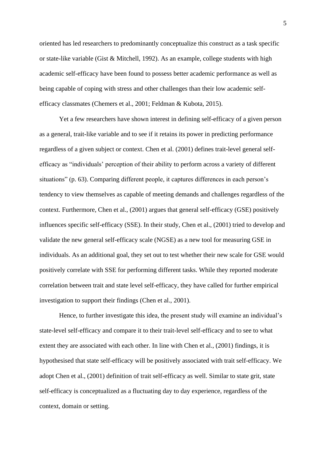oriented has led researchers to predominantly conceptualize this construct as a task specific or state-like variable (Gist & Mitchell, 1992). As an example, college students with high academic self-efficacy have been found to possess better academic performance as well as being capable of coping with stress and other challenges than their low academic selfefficacy classmates (Chemers et al., 2001; Feldman & Kubota, 2015).

Yet a few researchers have shown interest in defining self-efficacy of a given person as a general, trait-like variable and to see if it retains its power in predicting performance regardless of a given subject or context. Chen et al. (2001) defines trait-level general selfefficacy as "individuals' perception of their ability to perform across a variety of different situations" (p. 63). Comparing different people, it captures differences in each person's tendency to view themselves as capable of meeting demands and challenges regardless of the context. Furthermore, Chen et al., (2001) argues that general self-efficacy (GSE) positively influences specific self-efficacy (SSE). In their study, Chen et al., (2001) tried to develop and validate the new general self-efficacy scale (NGSE) as a new tool for measuring GSE in individuals. As an additional goal, they set out to test whether their new scale for GSE would positively correlate with SSE for performing different tasks. While they reported moderate correlation between trait and state level self-efficacy, they have called for further empirical investigation to support their findings (Chen et al., 2001).

Hence, to further investigate this idea, the present study will examine an individual's state-level self-efficacy and compare it to their trait-level self-efficacy and to see to what extent they are associated with each other. In line with Chen et al., (2001) findings, it is hypothesised that state self-efficacy will be positively associated with trait self-efficacy. We adopt Chen et al., (2001) definition of trait self-efficacy as well. Similar to state grit, state self-efficacy is conceptualized as a fluctuating day to day experience, regardless of the context, domain or setting.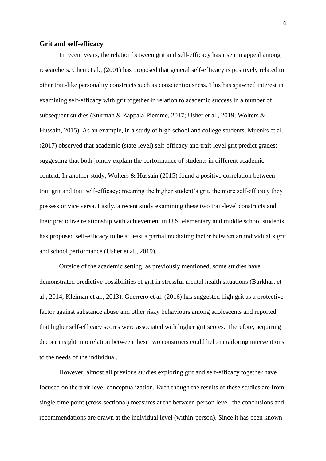#### **Grit and self-efficacy**

In recent years, the relation between grit and self-efficacy has risen in appeal among researchers. Chen et al., (2001) has proposed that general self-efficacy is positively related to other trait-like personality constructs such as conscientiousness. This has spawned interest in examining self-efficacy with grit together in relation to academic success in a number of subsequent studies (Sturman & Zappala-Piemme, 2017; Usher et al., 2019; Wolters & Hussain, 2015). As an example, in a study of high school and college students, Muenks et al. (2017) observed that academic (state-level) self-efficacy and trait-level grit predict grades; suggesting that both jointly explain the performance of students in different academic context. In another study, Wolters & Hussain (2015) found a positive correlation between trait grit and trait self-efficacy; meaning the higher student's grit, the more self-efficacy they possess or vice versa. Lastly, a recent study examining these two trait-level constructs and their predictive relationship with achievement in U.S. elementary and middle school students has proposed self-efficacy to be at least a partial mediating factor between an individual's grit and school performance (Usher et al., 2019).

Outside of the academic setting, as previously mentioned, some studies have demonstrated predictive possibilities of grit in stressful mental health situations (Burkhart et al., 2014; Kleiman et al., 2013). Guerrero et al. (2016) has suggested high grit as a protective factor against substance abuse and other risky behaviours among adolescents and reported that higher self-efficacy scores were associated with higher grit scores. Therefore, acquiring deeper insight into relation between these two constructs could help in tailoring interventions to the needs of the individual.

However, almost all previous studies exploring grit and self-efficacy together have focused on the trait-level conceptualization. Even though the results of these studies are from single-time point (cross-sectional) measures at the between-person level, the conclusions and recommendations are drawn at the individual level (within-person). Since it has been known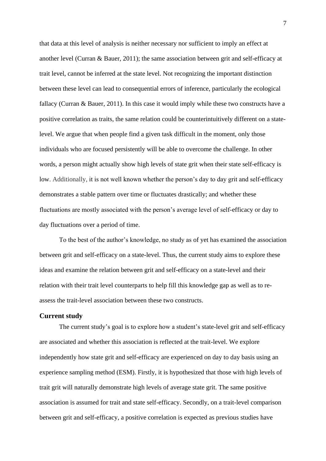that data at this level of analysis is neither necessary nor sufficient to imply an effect at another level (Curran & Bauer, 2011); the same association between grit and self-efficacy at trait level, cannot be inferred at the state level. Not recognizing the important distinction between these level can lead to consequential errors of inference, particularly the ecological fallacy (Curran & Bauer, 2011). In this case it would imply while these two constructs have a positive correlation as traits, the same relation could be counterintuitively different on a statelevel. We argue that when people find a given task difficult in the moment, only those individuals who are focused persistently will be able to overcome the challenge. In other words, a person might actually show high levels of state grit when their state self-efficacy is low. Additionally, it is not well known whether the person's day to day grit and self-efficacy demonstrates a stable pattern over time or fluctuates drastically; and whether these fluctuations are mostly associated with the person's average level of self-efficacy or day to day fluctuations over a period of time.

To the best of the author's knowledge, no study as of yet has examined the association between grit and self-efficacy on a state-level. Thus, the current study aims to explore these ideas and examine the relation between grit and self-efficacy on a state-level and their relation with their trait level counterparts to help fill this knowledge gap as well as to reassess the trait-level association between these two constructs.

## **Current study**

The current study's goal is to explore how a student's state-level grit and self-efficacy are associated and whether this association is reflected at the trait-level. We explore independently how state grit and self-efficacy are experienced on day to day basis using an experience sampling method (ESM). Firstly, it is hypothesized that those with high levels of trait grit will naturally demonstrate high levels of average state grit. The same positive association is assumed for trait and state self-efficacy. Secondly, on a trait-level comparison between grit and self-efficacy, a positive correlation is expected as previous studies have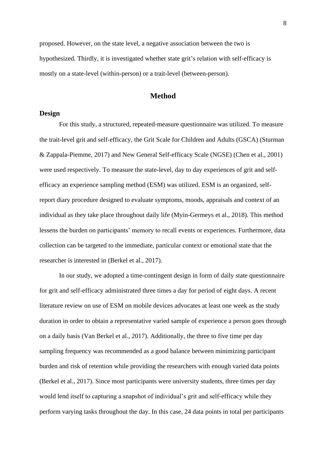proposed. However, on the state level, a negative association between the two is hypothesized. Thirdly, it is investigated whether state grit's relation with self-efficacy is mostly on a state-level (within-person) or a trait-level (between-person).

## **Method**

#### **Design**

For this study, a structured, repeated-measure questionnaire was utilized. To measure the trait-level grit and self-efficacy, the Grit Scale for Children and Adults (GSCA) (Sturman & Zappala-Piemme, 2017) and New General Self-efficacy Scale (NGSE) (Chen et al., 2001) were used respectively. To measure the state-level, day to day experiences of grit and selfefficacy an experience sampling method (ESM) was utilized. ESM is an organized, selfreport diary procedure designed to evaluate symptoms, moods, appraisals and context of an individual as they take place throughout daily life (Myin-Germeys et al., 2018). This method lessens the burden on participants' memory to recall events or experiences. Furthermore, data collection can be targeted to the immediate, particular context or emotional state that the researcher is interested in (Berkel et al., 2017).

In our study, we adopted a time-contingent design in form of daily state questionnaire for grit and self-efficacy administrated three times a day for period of eight days. A recent literature review on use of ESM on mobile devices advocates at least one week as the study duration in order to obtain a representative varied sample of experience a person goes through on a daily basis (Van Berkel et al., 2017). Additionally, the three to five time per day sampling frequency was recommended as a good balance between minimizing participant burden and risk of retention while providing the researchers with enough varied data points (Berkel et al., 2017). Since most participants were university students, three times per day would lend itself to capturing a snapshot of individual's grit and self-efficacy while they perform varying tasks throughout the day. In this case, 24 data points in total per participants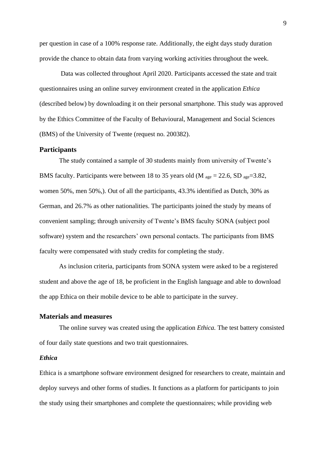per question in case of a 100% response rate. Additionally, the eight days study duration provide the chance to obtain data from varying working activities throughout the week.

Data was collected throughout April 2020. Participants accessed the state and trait questionnaires using an online survey environment created in the application *Ethica* (described below) by downloading it on their personal smartphone*.* This study was approved by the Ethics Committee of the Faculty of Behavioural, Management and Social Sciences (BMS) of the University of Twente (request no. 200382).

#### **Participants**

The study contained a sample of 30 students mainly from university of Twente's BMS faculty. Participants were between 18 to 35 years old (M  $_{\text{age}} = 22.6$ , SD  $_{\text{age}} = 3.82$ , women 50%, men 50%,). Out of all the participants, 43.3% identified as Dutch, 30% as German, and 26.7% as other nationalities. The participants joined the study by means of convenient sampling; through university of Twente's BMS faculty SONA (subject pool software) system and the researchers' own personal contacts. The participants from BMS faculty were compensated with study credits for completing the study.

As inclusion criteria, participants from SONA system were asked to be a registered student and above the age of 18, be proficient in the English language and able to download the app Ethica on their mobile device to be able to participate in the survey.

#### **Materials and measures**

The online survey was created using the application *Ethica.* The test battery consisted of four daily state questions and two trait questionnaires.

## *Ethica*

Ethica is a smartphone software environment designed for researchers to create, maintain and deploy surveys and other forms of studies. It functions as a platform for participants to join the study using their smartphones and complete the questionnaires; while providing web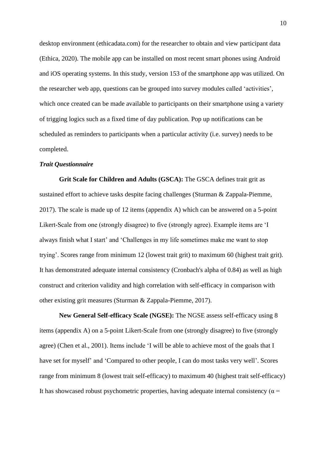desktop environment [\(ethicadata.com\)](http://www.ethicadata.com/) for the researcher to obtain and view participant data (Ethica, 2020). The mobile app can be installed on most recent smart phones using Android and iOS operating systems. In this study, version 153 of the smartphone app was utilized. On the researcher web app, questions can be grouped into survey modules called 'activities', which once created can be made available to participants on their smartphone using a variety of trigging logics such as a fixed time of day publication. Pop up notifications can be scheduled as reminders to participants when a particular activity (i.e. survey) needs to be completed.

## *Trait Questionnaire*

**Grit Scale for Children and Adults (GSCA):** The GSCA defines trait grit as sustained effort to achieve tasks despite facing challenges (Sturman & Zappala-Piemme, 2017). The scale is made up of 12 items (appendix A) which can be answered on a 5-point Likert-Scale from one (strongly disagree) to five (strongly agree). Example items are 'I always finish what I start' and 'Challenges in my life sometimes make me want to stop trying'. Scores range from minimum 12 (lowest trait grit) to maximum 60 (highest trait grit). It has demonstrated adequate internal consistency (Cronbach's alpha of 0.84) as well as high construct and criterion validity and high correlation with self-efficacy in comparison with other existing grit measures (Sturman & Zappala-Piemme, 2017).

**New General Self-efficacy Scale (NGSE):** The NGSE assess self-efficacy using 8 items (appendix A) on a 5-point Likert-Scale from one (strongly disagree) to five (strongly agree) (Chen et al., 2001). Items include 'I will be able to achieve most of the goals that I have set for myself' and 'Compared to other people, I can do most tasks very well'. Scores range from minimum 8 (lowest trait self-efficacy) to maximum 40 (highest trait self-efficacy) It has showcased robust psychometric properties, having adequate internal consistency ( $\alpha$  =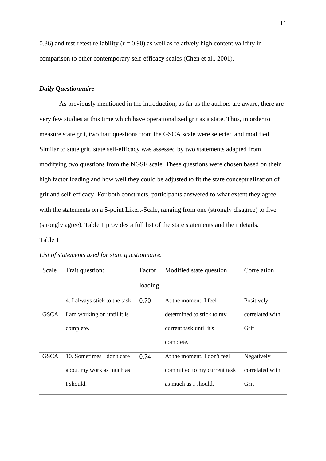0.86) and test-retest reliability ( $r = 0.90$ ) as well as relatively high content validity in comparison to other contemporary self-efficacy scales (Chen et al., 2001).

## *Daily Questionnaire*

As previously mentioned in the introduction, as far as the authors are aware, there are very few studies at this time which have operationalized grit as a state. Thus, in order to measure state grit, two trait questions from the GSCA scale were selected and modified. Similar to state grit, state self-efficacy was assessed by two statements adapted from modifying two questions from the NGSE scale. These questions were chosen based on their high factor loading and how well they could be adjusted to fit the state conceptualization of grit and self-efficacy. For both constructs, participants answered to what extent they agree with the statements on a 5-point Likert-Scale, ranging from one (strongly disagree) to five (strongly agree). Table 1 provides a full list of the state statements and their details. Table 1

| Scale       | Trait question:               | Factor  | Modified state question      | Correlation     |
|-------------|-------------------------------|---------|------------------------------|-----------------|
|             |                               | loading |                              |                 |
|             | 4. I always stick to the task | 0.70    | At the moment, I feel        | Positively      |
| <b>GSCA</b> | I am working on until it is   |         | determined to stick to my    | correlated with |
|             | complete.                     |         | current task until it's      | Grit            |
|             |                               |         | complete.                    |                 |
| <b>GSCA</b> | 10. Sometimes I don't care    | 0.74    | At the moment, I don't feel  | Negatively      |
|             | about my work as much as      |         | committed to my current task | correlated with |
|             | I should.                     |         | as much as I should.         | Grit            |

*List of statements used for state questionnaire.*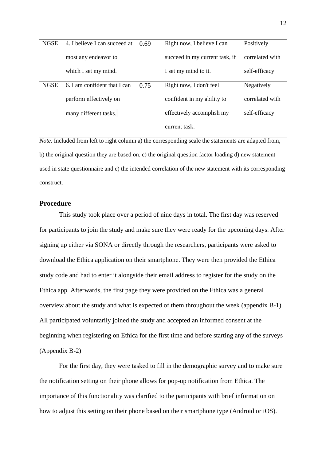| <b>NGSE</b> | 4. I believe I can succeed at | 0.69 | Right now, I believe I can     | Positively      |
|-------------|-------------------------------|------|--------------------------------|-----------------|
|             | most any endeavor to          |      | succeed in my current task, if | correlated with |
|             | which I set my mind.          |      | I set my mind to it.           | self-efficacy   |
| <b>NGSE</b> | 6. I am confident that I can  | 0.75 | Right now, I don't feel        | Negatively      |
|             | perform effectively on        |      | confident in my ability to     | correlated with |
|             | many different tasks.         |      | effectively accomplish my      | self-efficacy   |
|             |                               |      | current task.                  |                 |

*Note*. Included from left to right column a) the corresponding scale the statements are adapted from, b) the original question they are based on, c) the original question factor loading d) new statement used in state questionnaire and e) the intended correlation of the new statement with its corresponding construct.

## **Procedure**

This study took place over a period of nine days in total. The first day was reserved for participants to join the study and make sure they were ready for the upcoming days. After signing up either via SONA or directly through the researchers, participants were asked to download the Ethica application on their smartphone. They were then provided the Ethica study code and had to enter it alongside their email address to register for the study on the Ethica app. Afterwards, the first page they were provided on the Ethica was a general overview about the study and what is expected of them throughout the week (appendix B-1). All participated voluntarily joined the study and accepted an informed consent at the beginning when registering on Ethica for the first time and before starting any of the surveys (Appendix B-2)

For the first day, they were tasked to fill in the demographic survey and to make sure the notification setting on their phone allows for pop-up notification from Ethica. The importance of this functionality was clarified to the participants with brief information on how to adjust this setting on their phone based on their smartphone type (Android or iOS).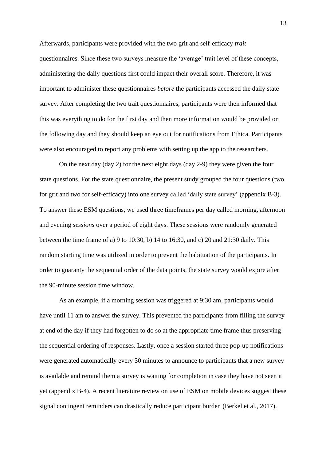Afterwards, participants were provided with the two grit and self-efficacy *trait* questionnaires. Since these two surveys measure the 'average' trait level of these concepts, administering the daily questions first could impact their overall score. Therefore, it was important to administer these questionnaires *before* the participants accessed the daily state survey. After completing the two trait questionnaires, participants were then informed that this was everything to do for the first day and then more information would be provided on the following day and they should keep an eye out for notifications from Ethica. Participants were also encouraged to report any problems with setting up the app to the researchers.

On the next day (day 2) for the next eight days (day 2-9) they were given the four state questions. For the state questionnaire, the present study grouped the four questions (two for grit and two for self-efficacy) into one survey called 'daily state survey' (appendix B-3). To answer these ESM questions, we used three timeframes per day called morning, afternoon and evening *sessions* over a period of eight days. These sessions were randomly generated between the time frame of a) 9 to 10:30, b) 14 to 16:30, and c) 20 and 21:30 daily. This random starting time was utilized in order to prevent the habituation of the participants. In order to guaranty the sequential order of the data points, the state survey would expire after the 90-minute session time window.

As an example, if a morning session was triggered at 9:30 am, participants would have until 11 am to answer the survey. This prevented the participants from filling the survey at end of the day if they had forgotten to do so at the appropriate time frame thus preserving the sequential ordering of responses. Lastly, once a session started three pop-up notifications were generated automatically every 30 minutes to announce to participants that a new survey is available and remind them a survey is waiting for completion in case they have not seen it yet (appendix B-4). A recent literature review on use of ESM on mobile devices suggest these signal contingent reminders can drastically reduce participant burden (Berkel et al., 2017).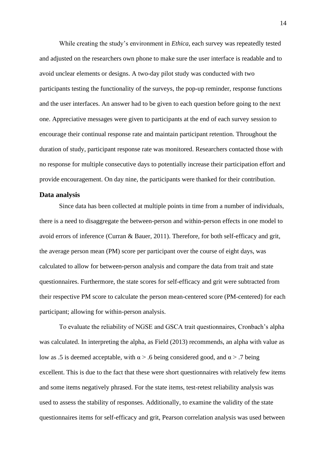While creating the study's environment in *Ethica*, each survey was repeatedly tested and adjusted on the researchers own phone to make sure the user interface is readable and to avoid unclear elements or designs. A two-day pilot study was conducted with two participants testing the functionality of the surveys, the pop-up reminder, response functions and the user interfaces. An answer had to be given to each question before going to the next one. Appreciative messages were given to participants at the end of each survey session to encourage their continual response rate and maintain participant retention. Throughout the duration of study, participant response rate was monitored. Researchers contacted those with no response for multiple consecutive days to potentially increase their participation effort and provide encouragement. On day nine, the participants were thanked for their contribution.

#### **Data analysis**

Since data has been collected at multiple points in time from a number of individuals, there is a need to disaggregate the between-person and within-person effects in one model to avoid errors of inference (Curran & Bauer, 2011). Therefore, for both self-efficacy and grit, the average person mean (PM) score per participant over the course of eight days, was calculated to allow for between-person analysis and compare the data from trait and state questionnaires. Furthermore, the state scores for self-efficacy and grit were subtracted from their respective PM score to calculate the person mean-centered score (PM-centered) for each participant; allowing for within-person analysis.

To evaluate the reliability of NGSE and GSCA trait questionnaires, Cronbach's alpha was calculated. In interpreting the alpha, as Field (2013) recommends, an alpha with value as low as .5 is deemed acceptable, with  $\alpha$  > .6 being considered good, and  $\alpha$  > .7 being excellent. This is due to the fact that these were short questionnaires with relatively few items and some items negatively phrased. For the state items, test-retest reliability analysis was used to assess the stability of responses. Additionally, to examine the validity of the state questionnaires items for self-efficacy and grit, Pearson correlation analysis was used between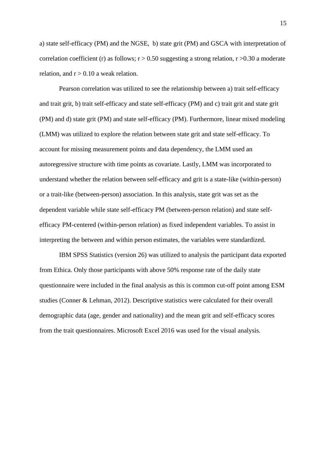a) state self-efficacy (PM) and the NGSE, b) state grit (PM) and GSCA with interpretation of correlation coefficient (r) as follows;  $r > 0.50$  suggesting a strong relation,  $r > 0.30$  a moderate relation, and  $r > 0.10$  a weak relation.

Pearson correlation was utilized to see the relationship between a) trait self-efficacy and trait grit, b) trait self-efficacy and state self-efficacy (PM) and c) trait grit and state grit (PM) and d) state grit (PM) and state self-efficacy (PM). Furthermore, linear mixed modeling (LMM) was utilized to explore the relation between state grit and state self-efficacy. To account for missing measurement points and data dependency, the LMM used an autoregressive structure with time points as covariate. Lastly, LMM was incorporated to understand whether the relation between self-efficacy and grit is a state-like (within-person) or a trait-like (between-person) association. In this analysis, state grit was set as the dependent variable while state self-efficacy PM (between-person relation) and state selfefficacy PM-centered (within-person relation) as fixed independent variables. To assist in interpreting the between and within person estimates, the variables were standardized.

IBM SPSS Statistics (version 26) was utilized to analysis the participant data exported from Ethica. Only those participants with above 50% response rate of the daily state questionnaire were included in the final analysis as this is common cut-off point among ESM studies (Conner & Lehman, 2012). Descriptive statistics were calculated for their overall demographic data (age, gender and nationality) and the mean grit and self-efficacy scores from the trait questionnaires. Microsoft Excel 2016 was used for the visual analysis.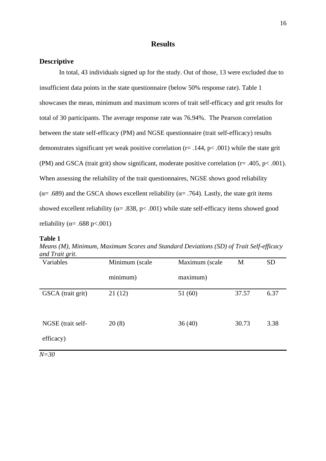## **Results**

## **Descriptive**

In total, 43 individuals signed up for the study. Out of those, 13 were excluded due to insufficient data points in the state questionnaire (below 50% response rate). Table 1 showcases the mean, minimum and maximum scores of trait self-efficacy and grit results for total of 30 participants. The average response rate was 76.94%. The Pearson correlation between the state self-efficacy (PM) and NGSE questionnaire (trait self-efficacy) results demonstrates significant yet weak positive correlation ( $r = .144$ ,  $p < .001$ ) while the state grit (PM) and GSCA (trait grit) show significant, moderate positive correlation ( $r = .405$ ,  $p < .001$ ). When assessing the reliability of the trait questionnaires, NGSE shows good reliability ( $α= .689$ ) and the GSCA shows excellent reliability ( $α= .764$ ). Lastly, the state grit items showed excellent reliability ( $\alpha$ = .838, p< .001) while state self-efficacy items showed good reliability ( $\alpha$ = .688 p<.001)

#### **Table 1**

| Variables                      | Minimum (scale | Maximum (scale | M     | <b>SD</b> |
|--------------------------------|----------------|----------------|-------|-----------|
|                                | minimum)       | maximum)       |       |           |
| GSCA (trait grit)              | 21(12)         | 51(60)         | 37.57 | 6.37      |
| NGSE (trait self-<br>efficacy) | 20(8)          | 36(40)         | 30.73 | 3.38      |
| $N=30$                         |                |                |       |           |

*Means (M), Minimum, Maximum Scores and Standard Deviations (SD) of Trait Self-efficacy and Trait grit.*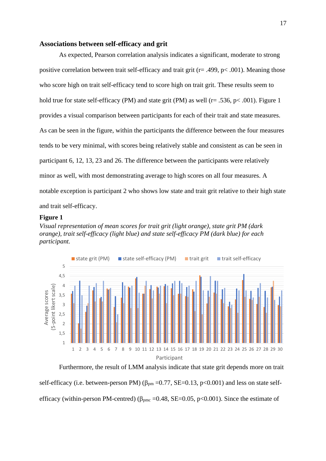#### **Associations between self-efficacy and grit**

As expected, Pearson correlation analysis indicates a significant, moderate to strong positive correlation between trait self-efficacy and trait grit (r= .499, p< .001). Meaning those who score high on trait self-efficacy tend to score high on trait grit. These results seem to hold true for state self-efficacy (PM) and state grit (PM) as well (r= .536, p< .001). Figure 1 provides a visual comparison between participants for each of their trait and state measures. As can be seen in the figure, within the participants the difference between the four measures tends to be very minimal, with scores being relatively stable and consistent as can be seen in participant 6, 12, 13, 23 and 26. The difference between the participants were relatively minor as well, with most demonstrating average to high scores on all four measures. A notable exception is participant 2 who shows low state and trait grit relative to their high state and trait self-efficacy.

#### **Figure 1**

*Visual representation of mean scores for trait grit (light orange), state grit PM (dark orange), trait self-efficacy (light blue) and state self-efficacy PM (dark blue) for each participant.*



Furthermore, the result of LMM analysis indicate that state grit depends more on trait self-efficacy (i.e. between-person PM) ( $\beta_{pm}$  =0.77, SE=0.13, p<0.001) and less on state selfefficacy (within-person PM-centred) ( $\beta_{\text{pmc}}$  =0.48, SE=0.05, p<0.001). Since the estimate of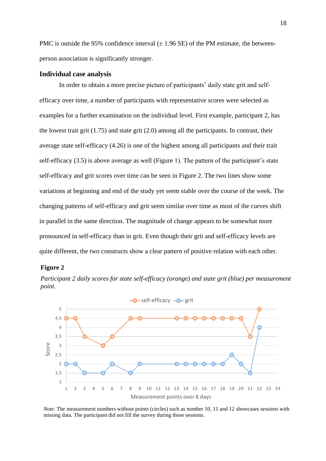PMC is outside the 95% confidence interval  $(\pm 1.96 \text{ SE})$  of the PM estimate, the betweenperson association is significantly stronger.

#### **Individual case analysis**

In order to obtain a more precise picture of participants' daily state grit and selfefficacy over time, a number of participants with representative scores were selected as examples for a further examination on the individual level. First example, participant 2, has the lowest trait grit (1.75) and state grit (2.0) among all the participants. In contrast, their average state self-efficacy (4.26) is one of the highest among all participants and their trait self-efficacy (3.5) is above average as well (Figure 1). The pattern of the participant's state self-efficacy and grit scores over time can be seen in Figure 2. The two lines show some variations at beginning and end of the study yet seem stable over the course of the week. The changing patterns of self-efficacy and grit seem similar over time as most of the curves shift in parallel in the same direction. The magnitude of change appears to be somewhat more pronounced in self-efficacy than in grit. Even though their grit and self-efficacy levels are quite different, the two constructs show a clear pattern of positive relation with each other.

#### **Figure 2**





*Note.* The measurement numbers without points (circles) such as number 10, 11 and 12 showcases sessions with missing data. The participant did not fill the survey during those sessions.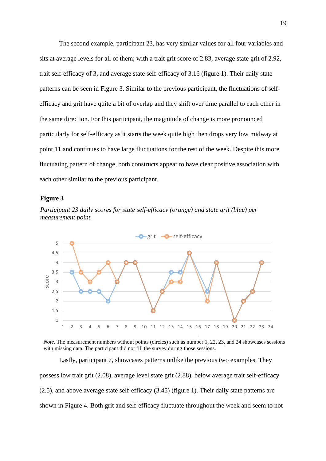The second example, participant 23, has very similar values for all four variables and sits at average levels for all of them; with a trait grit score of 2.83, average state grit of 2.92, trait self-efficacy of 3, and average state self-efficacy of 3.16 (figure 1). Their daily state patterns can be seen in Figure 3. Similar to the previous participant, the fluctuations of selfefficacy and grit have quite a bit of overlap and they shift over time parallel to each other in the same direction. For this participant, the magnitude of change is more pronounced particularly for self-efficacy as it starts the week quite high then drops very low midway at point 11 and continues to have large fluctuations for the rest of the week. Despite this more fluctuating pattern of change, both constructs appear to have clear positive association with each other similar to the previous participant.

#### **Figure 3**







Lastly, participant 7, showcases patterns unlike the previous two examples. They possess low trait grit (2.08), average level state grit (2.88), below average trait self-efficacy (2.5), and above average state self-efficacy (3.45) (figure 1). Their daily state patterns are shown in Figure 4. Both grit and self-efficacy fluctuate throughout the week and seem to not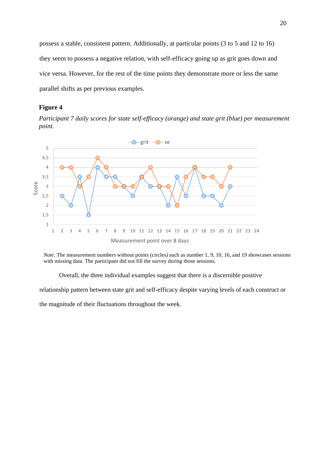possess a stable, consistent pattern. Additionally, at particular points (3 to 5 and 12 to 16) they seem to possess a negative relation, with self-efficacy going up as grit goes down and vice versa. However, for the rest of the time points they demonstrate more or less the same parallel shifts as per previous examples.

## **Figure 4**

*Participant 7 daily scores for state self-efficacy (orange) and state grit (blue) per measurement point.*



*Note.* The measurement numbers without points (circles) such as number 1, 9, 10, 16, and 19 showcases sessions with missing data. The participant did not fill the survey during those sessions.

Overall, the three individual examples suggest that there is a discernible positive

relationship pattern between state grit and self-efficacy despite varying levels of each construct or

the magnitude of their fluctuations throughout the week.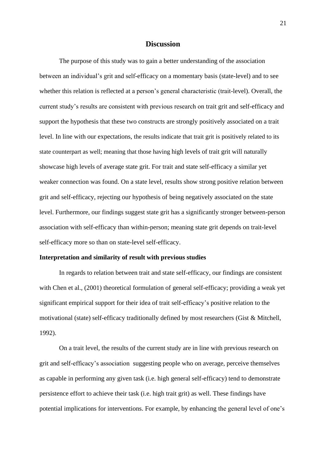## **Discussion**

The purpose of this study was to gain a better understanding of the association between an individual's grit and self-efficacy on a momentary basis (state-level) and to see whether this relation is reflected at a person's general characteristic (trait-level). Overall, the current study's results are consistent with previous research on trait grit and self-efficacy and support the hypothesis that these two constructs are strongly positively associated on a trait level. In line with our expectations, the results indicate that trait grit is positively related to its state counterpart as well; meaning that those having high levels of trait grit will naturally showcase high levels of average state grit. For trait and state self-efficacy a similar yet weaker connection was found. On a state level, results show strong positive relation between grit and self-efficacy, rejecting our hypothesis of being negatively associated on the state level. Furthermore, our findings suggest state grit has a significantly stronger between-person association with self-efficacy than within-person; meaning state grit depends on trait-level self-efficacy more so than on state-level self-efficacy.

#### **Interpretation and similarity of result with previous studies**

In regards to relation between trait and state self-efficacy, our findings are consistent with Chen et al., (2001) theoretical formulation of general self-efficacy; providing a weak yet significant empirical support for their idea of trait self-efficacy's positive relation to the motivational (state) self-efficacy traditionally defined by most researchers (Gist & Mitchell, 1992).

On a trait level, the results of the current study are in line with previous research on grit and self-efficacy's association suggesting people who on average, perceive themselves as capable in performing any given task (i.e. high general self-efficacy) tend to demonstrate persistence effort to achieve their task (i.e. high trait grit) as well. These findings have potential implications for interventions. For example, by enhancing the general level of one's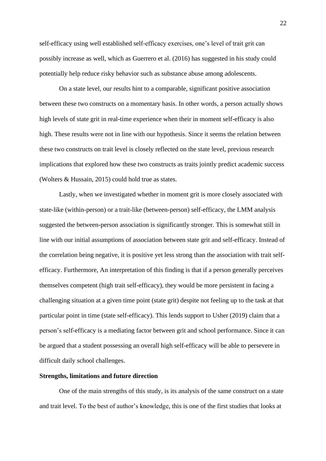self-efficacy using well established self-efficacy exercises, one's level of trait grit can possibly increase as well, which as Guerrero et al. (2016) has suggested in his study could potentially help reduce risky behavior such as substance abuse among adolescents.

On a state level, our results hint to a comparable, significant positive association between these two constructs on a momentary basis. In other words, a person actually shows high levels of state grit in real-time experience when their in moment self-efficacy is also high. These results were not in line with our hypothesis. Since it seems the relation between these two constructs on trait level is closely reflected on the state level, previous research implications that explored how these two constructs as traits jointly predict academic success (Wolters & Hussain, 2015) could hold true as states.

Lastly, when we investigated whether in moment grit is more closely associated with state-like (within-person) or a trait-like (between-person) self-efficacy, the LMM analysis suggested the between-person association is significantly stronger. This is somewhat still in line with our initial assumptions of association between state grit and self-efficacy. Instead of the correlation being negative, it is positive yet less strong than the association with trait selfefficacy. Furthermore, An interpretation of this finding is that if a person generally perceives themselves competent (high trait self-efficacy), they would be more persistent in facing a challenging situation at a given time point (state grit) despite not feeling up to the task at that particular point in time (state self-efficacy). This lends support to Usher (2019) claim that a person's self-efficacy is a mediating factor between grit and school performance. Since it can be argued that a student possessing an overall high self-efficacy will be able to persevere in difficult daily school challenges.

#### **Strengths, limitations and future direction**

One of the main strengths of this study, is its analysis of the same construct on a state and trait level. To the best of author's knowledge, this is one of the first studies that looks at

22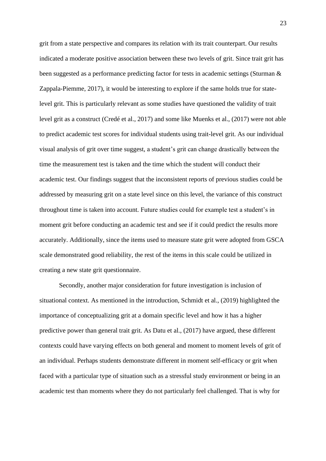grit from a state perspective and compares its relation with its trait counterpart. Our results indicated a moderate positive association between these two levels of grit. Since trait grit has been suggested as a performance predicting factor for tests in academic settings (Sturman & Zappala-Piemme, 2017), it would be interesting to explore if the same holds true for statelevel grit. This is particularly relevant as some studies have questioned the validity of trait level grit as a construct (Credé et al., 2017) and some like Muenks et al., (2017) were not able to predict academic test scores for individual students using trait-level grit. As our individual visual analysis of grit over time suggest, a student's grit can change drastically between the time the measurement test is taken and the time which the student will conduct their academic test. Our findings suggest that the inconsistent reports of previous studies could be addressed by measuring grit on a state level since on this level, the variance of this construct throughout time is taken into account. Future studies could for example test a student's in moment grit before conducting an academic test and see if it could predict the results more accurately. Additionally, since the items used to measure state grit were adopted from GSCA scale demonstrated good reliability, the rest of the items in this scale could be utilized in creating a new state grit questionnaire.

Secondly, another major consideration for future investigation is inclusion of situational context. As mentioned in the introduction, Schmidt et al., (2019) highlighted the importance of conceptualizing grit at a domain specific level and how it has a higher predictive power than general trait grit. As Datu et al., (2017) have argued, these different contexts could have varying effects on both general and moment to moment levels of grit of an individual. Perhaps students demonstrate different in moment self-efficacy or grit when faced with a particular type of situation such as a stressful study environment or being in an academic test than moments where they do not particularly feel challenged. That is why for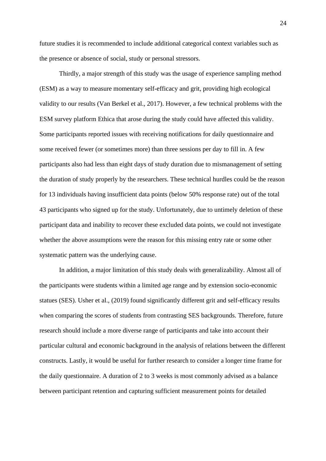future studies it is recommended to include additional categorical context variables such as the presence or absence of social, study or personal stressors.

Thirdly, a major strength of this study was the usage of experience sampling method (ESM) as a way to measure momentary self-efficacy and grit, providing high ecological validity to our results (Van Berkel et al., 2017). However, a few technical problems with the ESM survey platform Ethica that arose during the study could have affected this validity. Some participants reported issues with receiving notifications for daily questionnaire and some received fewer (or sometimes more) than three sessions per day to fill in. A few participants also had less than eight days of study duration due to mismanagement of setting the duration of study properly by the researchers. These technical hurdles could be the reason for 13 individuals having insufficient data points (below 50% response rate) out of the total 43 participants who signed up for the study. Unfortunately, due to untimely deletion of these participant data and inability to recover these excluded data points, we could not investigate whether the above assumptions were the reason for this missing entry rate or some other systematic pattern was the underlying cause.

In addition, a major limitation of this study deals with generalizability. Almost all of the participants were students within a limited age range and by extension socio-economic statues (SES). Usher et al., (2019) found significantly different grit and self-efficacy results when comparing the scores of students from contrasting SES backgrounds. Therefore, future research should include a more diverse range of participants and take into account their particular cultural and economic background in the analysis of relations between the different constructs. Lastly, it would be useful for further research to consider a longer time frame for the daily questionnaire. A duration of 2 to 3 weeks is most commonly advised as a balance between participant retention and capturing sufficient measurement points for detailed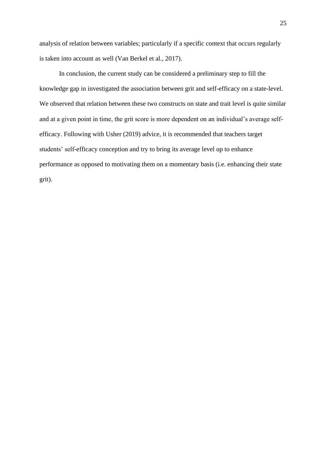analysis of relation between variables; particularly if a specific context that occurs regularly is taken into account as well (Van Berkel et al., 2017).

In conclusion, the current study can be considered a preliminary step to fill the knowledge gap in investigated the association between grit and self-efficacy on a state-level. We observed that relation between these two constructs on state and trait level is quite similar and at a given point in time, the grit score is more dependent on an individual's average selfefficacy. Following with Usher (2019) advice, it is recommended that teachers target students' self-efficacy conception and try to bring its average level up to enhance performance as opposed to motivating them on a momentary basis (i.e. enhancing their state grit).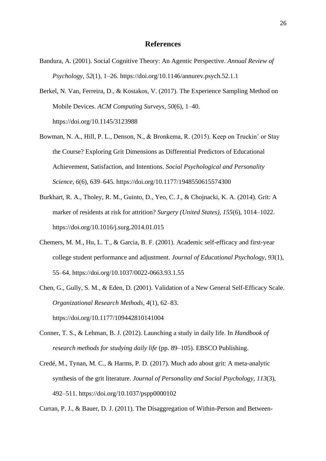## **References**

- Bandura, A. (2001). Social Cognitive Theory: An Agentic Perspective. *Annual Review of Psychology*, *52*(1), 1–26. https://doi.org/10.1146/annurev.psych.52.1.1
- Berkel, N. Van, Ferreira, D., & Kostakos, V. (2017). The Experience Sampling Method on Mobile Devices. *ACM Computing Surveys*, *50*(6), 1–40. https://doi.org/10.1145/3123988
- Bowman, N. A., Hill, P. L., Denson, N., & Bronkema, R. (2015). Keep on Truckin' or Stay the Course? Exploring Grit Dimensions as Differential Predictors of Educational Achievement, Satisfaction, and Intentions. *Social Psychological and Personality Science*, *6*(6), 639–645. https://doi.org/10.1177/1948550615574300
- Burkhart, R. A., Tholey, R. M., Guinto, D., Yeo, C. J., & Chojnacki, K. A. (2014). Grit: A marker of residents at risk for attrition? *Surgery (United States)*, *155*(6), 1014–1022. https://doi.org/10.1016/j.surg.2014.01.015
- Chemers, M. M., Hu, L. T., & Garcia, B. F. (2001). Academic self-efficacy and first-year college student performance and adjustment. *Journal of Educational Psychology*, *93*(1), 55–64. https://doi.org/10.1037/0022-0663.93.1.55
- Chen, G., Gully, S. M., & Eden, D. (2001). Validation of a New General Self-Efficacy Scale. *Organizational Research Methods*, *4*(1), 62–83.

https://doi.org/10.1177/109442810141004

- Conner, T. S., & Lehman, B. J. (2012). Launching a study in daily life. In *Handbook of research methods for studying daily life* (pp. 89–105). EBSCO Publishing.
- Credé, M., Tynan, M. C., & Harms, P. D. (2017). Much ado about grit: A meta-analytic synthesis of the grit literature. *Journal of Personality and Social Psychology*, *113*(3), 492–511. https://doi.org/10.1037/pspp0000102

Curran, P. J., & Bauer, D. J. (2011). The Disaggregation of Within-Person and Between-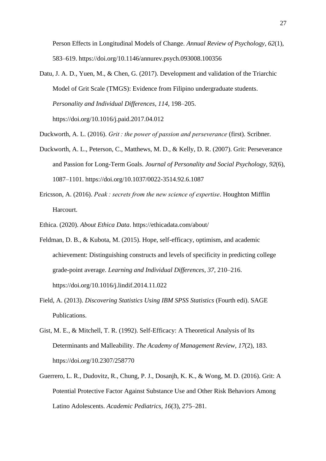Person Effects in Longitudinal Models of Change. *Annual Review of Psychology*, *62*(1), 583–619. https://doi.org/10.1146/annurev.psych.093008.100356

Datu, J. A. D., Yuen, M., & Chen, G. (2017). Development and validation of the Triarchic Model of Grit Scale (TMGS): Evidence from Filipino undergraduate students. *Personality and Individual Differences*, *114*, 198–205. https://doi.org/10.1016/j.paid.2017.04.012

Duckworth, A. L. (2016). *Grit : the power of passion and perseverance* (first). Scribner.

- Duckworth, A. L., Peterson, C., Matthews, M. D., & Kelly, D. R. (2007). Grit: Perseverance and Passion for Long-Term Goals. *Journal of Personality and Social Psychology*, *92*(6), 1087–1101. https://doi.org/10.1037/0022-3514.92.6.1087
- Ericsson, A. (2016). *Peak : secrets from the new science of expertise*. Houghton Mifflin Harcourt.
- Ethica. (2020). *About Ethica Data*. https://ethicadata.com/about/
- Feldman, D. B., & Kubota, M. (2015). Hope, self-efficacy, optimism, and academic achievement: Distinguishing constructs and levels of specificity in predicting college grade-point average. *Learning and Individual Differences*, *37*, 210–216. https://doi.org/10.1016/j.lindif.2014.11.022
- Field, A. (2013). *Discovering Statistics Using IBM SPSS Statistics* (Fourth edi). SAGE Publications.
- Gist, M. E., & Mitchell, T. R. (1992). Self-Efficacy: A Theoretical Analysis of Its Determinants and Malleability. *The Academy of Management Review*, *17*(2), 183. https://doi.org/10.2307/258770
- Guerrero, L. R., Dudovitz, R., Chung, P. J., Dosanjh, K. K., & Wong, M. D. (2016). Grit: A Potential Protective Factor Against Substance Use and Other Risk Behaviors Among Latino Adolescents. *Academic Pediatrics*, *16*(3), 275–281.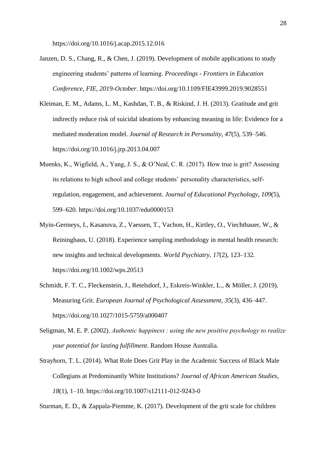https://doi.org/10.1016/j.acap.2015.12.016

- Janzen, D. S., Chang, R., & Chen, J. (2019). Development of mobile applications to study engineering students' patterns of learning. *Proceedings - Frontiers in Education Conference, FIE*, *2019*-*October*. https://doi.org/10.1109/FIE43999.2019.9028551
- Kleiman, E. M., Adams, L. M., Kashdan, T. B., & Riskind, J. H. (2013). Gratitude and grit indirectly reduce risk of suicidal ideations by enhancing meaning in life: Evidence for a mediated moderation model. *Journal of Research in Personality*, *47*(5), 539–546. https://doi.org/10.1016/j.jrp.2013.04.007
- Muenks, K., Wigfield, A., Yang, J. S., & O'Neal, C. R. (2017). How true is grit? Assessing its relations to high school and college students' personality characteristics, selfregulation, engagement, and achievement. *Journal of Educational Psychology*, *109*(5), 599–620. https://doi.org/10.1037/edu0000153
- Myin-Germeys, I., Kasanova, Z., Vaessen, T., Vachon, H., Kirtley, O., Viechtbauer, W., & Reininghaus, U. (2018). Experience sampling methodology in mental health research: new insights and technical developments. *World Psychiatry*, *17*(2), 123–132. https://doi.org/10.1002/wps.20513
- Schmidt, F. T. C., Fleckenstein, J., Retelsdorf, J., Eskreis-Winkler, L., & Möller, J. (2019). Measuring Grit. *European Journal of Psychological Assessment*, *35*(3), 436–447. https://doi.org/10.1027/1015-5759/a000407
- Seligman, M. E. P. (2002). *Authentic happiness : using the new positive psychology to realize your potential for lasting fulfillment*. Random House Australia.
- Strayhorn, T. L. (2014). What Role Does Grit Play in the Academic Success of Black Male Collegians at Predominantly White Institutions? *Journal of African American Studies*, *18*(1), 1–10. https://doi.org/10.1007/s12111-012-9243-0

Sturman, E. D., & Zappala-Piemme, K. (2017). Development of the grit scale for children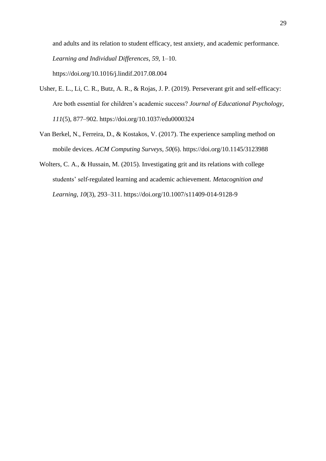and adults and its relation to student efficacy, test anxiety, and academic performance. *Learning and Individual Differences*, *59*, 1–10. https://doi.org/10.1016/j.lindif.2017.08.004

- Usher, E. L., Li, C. R., Butz, A. R., & Rojas, J. P. (2019). Perseverant grit and self-efficacy: Are both essential for children's academic success? *Journal of Educational Psychology*, *111*(5), 877–902. https://doi.org/10.1037/edu0000324
- Van Berkel, N., Ferreira, D., & Kostakos, V. (2017). The experience sampling method on mobile devices. *ACM Computing Surveys*, *50*(6). https://doi.org/10.1145/3123988
- Wolters, C. A., & Hussain, M. (2015). Investigating grit and its relations with college students' self-regulated learning and academic achievement. *Metacognition and Learning*, *10*(3), 293–311. https://doi.org/10.1007/s11409-014-9128-9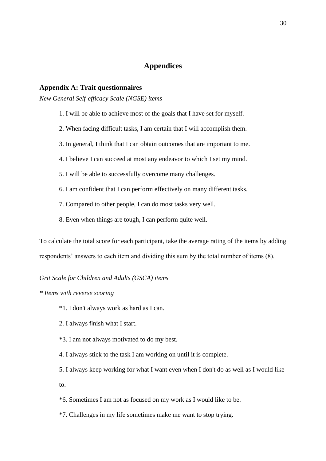## **Appendices**

#### **Appendix A: Trait questionnaires**

*New General Self-efficacy Scale (NGSE) items*

- 1. I will be able to achieve most of the goals that I have set for myself.
- 2. When facing difficult tasks, I am certain that I will accomplish them.
- 3. In general, I think that I can obtain outcomes that are important to me.
- 4. I believe I can succeed at most any endeavor to which I set my mind.
- 5. I will be able to successfully overcome many challenges.
- 6. I am confident that I can perform effectively on many different tasks.
- 7. Compared to other people, I can do most tasks very well.
- 8. Even when things are tough, I can perform quite well.

To calculate the total score for each participant, take the average rating of the items by adding respondents' answers to each item and dividing this sum by the total number of items (8).

#### *Grit Scale for Children and Adults (GSCA) items*

#### *\* Items with reverse scoring*

- \*1. I don't always work as hard as I can.
- 2. I always finish what I start.
- \*3. I am not always motivated to do my best.
- 4. I always stick to the task I am working on until it is complete.
- 5. I always keep working for what I want even when I don't do as well as I would like to.
- \*6. Sometimes I am not as focused on my work as I would like to be.
- \*7. Challenges in my life sometimes make me want to stop trying.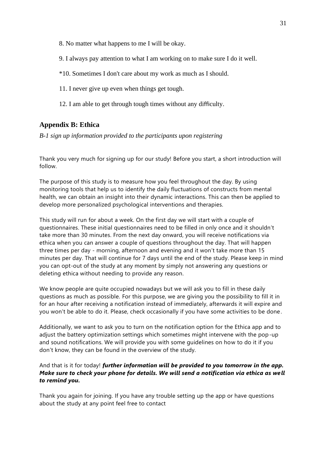- 8. No matter what happens to me I will be okay.
- 9. I always pay attention to what I am working on to make sure I do it well.
- \*10. Sometimes I don't care about my work as much as I should.
- 11. I never give up even when things get tough.
- 12. I am able to get through tough times without any difficulty.

## **Appendix B: Ethica**

*B-1 sign up information provided to the participants upon registering*

Thank you very much for signing up for our study! Before you start, a short introduction will follow.

The purpose of this study is to measure how you feel throughout the day. By using monitoring tools that help us to identify the daily fluctuations of constructs from mental health, we can obtain an insight into their dynamic interactions. This can then be applied to develop more personalized psychological interventions and therapies.

This study will run for about a week. On the first day we will start with a couple of questionnaires. These initial questionnaires need to be filled in only once and it shouldn't take more than 30 minutes. From the next day onward, you will receive notifications via ethica when you can answer a couple of questions throughout the day. That will happen three times per day - morning, afternoon and evening and it won't take more than 15 minutes per day. That will continue for 7 days until the end of the study. Please keep in mind you can opt-out of the study at any moment by simply not answering any questions or deleting ethica without needing to provide any reason.

We know people are quite occupied nowadays but we will ask you to fill in these daily questions as much as possible. For this purpose, we are giving you the possibility to fill it in for an hour after receiving a notification instead of immediately, afterwards it will expire and you won't be able to do it. Please, check occasionally if you have some activities to be done.

Additionally, we want to ask you to turn on the notification option for the Ethica app and to adjust the battery optimization settings which sometimes might intervene with the pop-up and sound notifications. We will provide you with some guidelines on how to do it if you don't know, they can be found in the overview of the study.

## And that is it for today! *further information will be provided to you tomorrow in the app. Make sure to check your phone for details. We will send a notification via ethica as well to remind you.*

Thank you again for joining. If you have any trouble setting up the app or have questions about the study at any point feel free to contact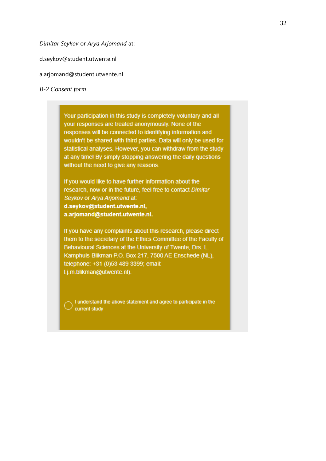*Dimitar Seykov* or *Arya Arjomand* at:

- d.seykov@student.utwente.nl
- a.arjomand@student.utwente.nl

#### *B-2 Consent form*

Your participation in this study is completely voluntary and all your responses are treated anonymously. None of the responses will be connected to identifying information and wouldn't be shared with third parties. Data will only be used for statistical analyses. However, you can withdraw from the study at any time! By simply stopping answering the daily questions without the need to give any reasons.

If you would like to have further information about the research, now or in the future, feel free to contact Dimitar Seykov or Arya Arjomand at: d.seykov@student.utwente.nl, a.arjomand@student.utwente.nl.

If you have any complaints about this research, please direct them to the secretary of the Ethics Committee of the Faculty of Behavioural Sciences at the University of Twente, Drs. L. Kamphuis-Blikman P.O. Box 217, 7500 AE Enschede (NL), telephone: +31 (0)53 489 3399; email: I.j.m.blikman@utwente.nl).

I understand the above statement and agree to participate in the ( . . current study